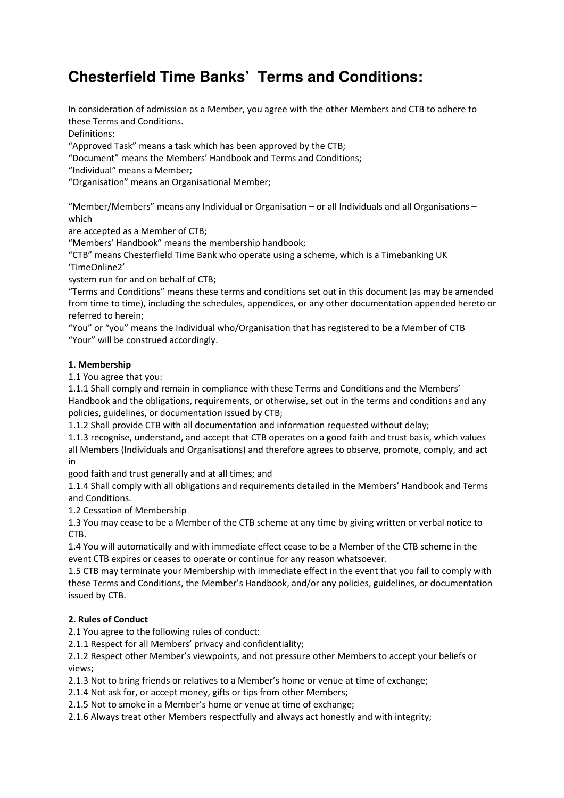# **Chesterfield Time Banks' Terms and Conditions:**

In consideration of admission as a Member, you agree with the other Members and CTB to adhere to these Terms and Conditions.

Definitions:

"Approved Task" means a task which has been approved by the CTB;

"Document" means the Members' Handbook and Terms and Conditions;

"Individual" means a Member;

"Organisation" means an Organisational Member;

"Member/Members" means any Individual or Organisation – or all Individuals and all Organisations – which

are accepted as a Member of CTB;

"Members' Handbook" means the membership handbook;

"CTB" means Chesterfield Time Bank who operate using a scheme, which is a Timebanking UK 'TimeOnline2'

system run for and on behalf of CTB;

"Terms and Conditions" means these terms and conditions set out in this document (as may be amended from time to time), including the schedules, appendices, or any other documentation appended hereto or referred to herein;

"You" or "you" means the Individual who/Organisation that has registered to be a Member of CTB "Your" will be construed accordingly.

# 1. Membership

1.1 You agree that you:

1.1.1 Shall comply and remain in compliance with these Terms and Conditions and the Members' Handbook and the obligations, requirements, or otherwise, set out in the terms and conditions and any policies, guidelines, or documentation issued by CTB;

1.1.2 Shall provide CTB with all documentation and information requested without delay;

1.1.3 recognise, understand, and accept that CTB operates on a good faith and trust basis, which values all Members (Individuals and Organisations) and therefore agrees to observe, promote, comply, and act in

good faith and trust generally and at all times; and

1.1.4 Shall comply with all obligations and requirements detailed in the Members' Handbook and Terms and Conditions.

1.2 Cessation of Membership

1.3 You may cease to be a Member of the CTB scheme at any time by giving written or verbal notice to CTB.

1.4 You will automatically and with immediate effect cease to be a Member of the CTB scheme in the event CTB expires or ceases to operate or continue for any reason whatsoever.

1.5 CTB may terminate your Membership with immediate effect in the event that you fail to comply with these Terms and Conditions, the Member's Handbook, and/or any policies, guidelines, or documentation issued by CTB.

# 2. Rules of Conduct

2.1 You agree to the following rules of conduct:

2.1.1 Respect for all Members' privacy and confidentiality;

2.1.2 Respect other Member's viewpoints, and not pressure other Members to accept your beliefs or views;

2.1.3 Not to bring friends or relatives to a Member's home or venue at time of exchange;

2.1.4 Not ask for, or accept money, gifts or tips from other Members;

2.1.5 Not to smoke in a Member's home or venue at time of exchange;

2.1.6 Always treat other Members respectfully and always act honestly and with integrity;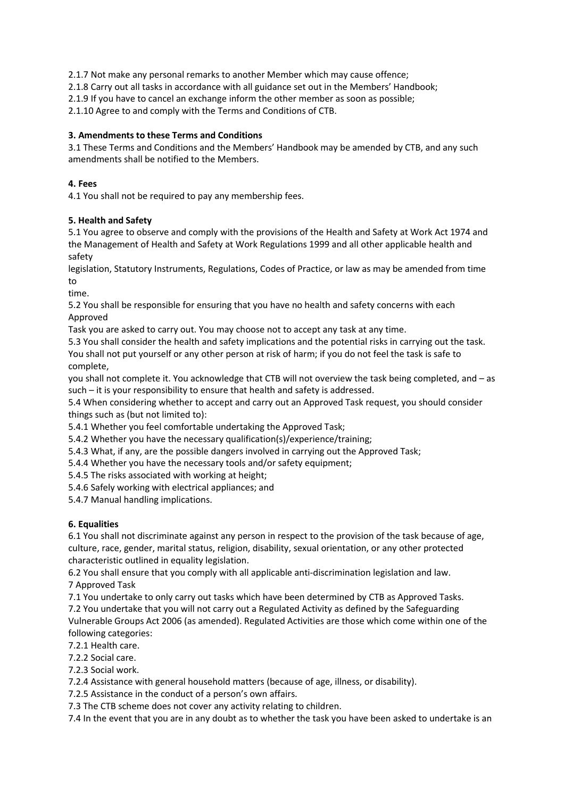2.1.7 Not make any personal remarks to another Member which may cause offence;

2.1.8 Carry out all tasks in accordance with all guidance set out in the Members' Handbook;

2.1.9 If you have to cancel an exchange inform the other member as soon as possible;

2.1.10 Agree to and comply with the Terms and Conditions of CTB.

# 3. Amendments to these Terms and Conditions

3.1 These Terms and Conditions and the Members' Handbook may be amended by CTB, and any such amendments shall be notified to the Members.

## 4. Fees

4.1 You shall not be required to pay any membership fees.

# 5. Health and Safety

5.1 You agree to observe and comply with the provisions of the Health and Safety at Work Act 1974 and the Management of Health and Safety at Work Regulations 1999 and all other applicable health and safety

legislation, Statutory Instruments, Regulations, Codes of Practice, or law as may be amended from time to

time.

5.2 You shall be responsible for ensuring that you have no health and safety concerns with each Approved

Task you are asked to carry out. You may choose not to accept any task at any time.

5.3 You shall consider the health and safety implications and the potential risks in carrying out the task. You shall not put yourself or any other person at risk of harm; if you do not feel the task is safe to complete,

you shall not complete it. You acknowledge that CTB will not overview the task being completed, and – as such – it is your responsibility to ensure that health and safety is addressed.

5.4 When considering whether to accept and carry out an Approved Task request, you should consider things such as (but not limited to):

5.4.1 Whether you feel comfortable undertaking the Approved Task;

5.4.2 Whether you have the necessary qualification(s)/experience/training;

5.4.3 What, if any, are the possible dangers involved in carrying out the Approved Task;

5.4.4 Whether you have the necessary tools and/or safety equipment;

5.4.5 The risks associated with working at height;

5.4.6 Safely working with electrical appliances; and

5.4.7 Manual handling implications.

# 6. Equalities

6.1 You shall not discriminate against any person in respect to the provision of the task because of age, culture, race, gender, marital status, religion, disability, sexual orientation, or any other protected characteristic outlined in equality legislation.

6.2 You shall ensure that you comply with all applicable anti-discrimination legislation and law. 7 Approved Task

7.1 You undertake to only carry out tasks which have been determined by CTB as Approved Tasks.

7.2 You undertake that you will not carry out a Regulated Activity as defined by the Safeguarding Vulnerable Groups Act 2006 (as amended). Regulated Activities are those which come within one of the following categories:

7.2.1 Health care.

7.2.2 Social care.

7.2.3 Social work.

7.2.4 Assistance with general household matters (because of age, illness, or disability).

7.2.5 Assistance in the conduct of a person's own affairs.

7.3 The CTB scheme does not cover any activity relating to children.

7.4 In the event that you are in any doubt as to whether the task you have been asked to undertake is an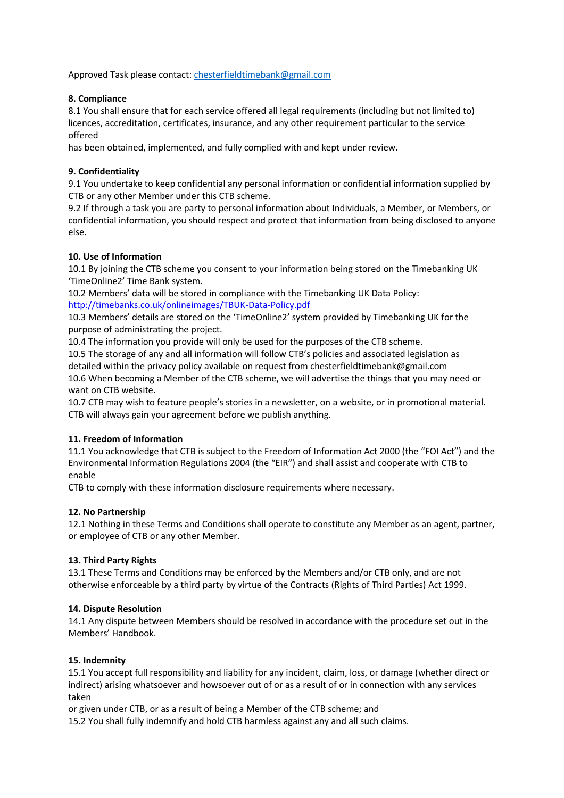Approved Task please contact: chesterfieldtimebank@gmail.com

# 8. Compliance

8.1 You shall ensure that for each service offered all legal requirements (including but not limited to) licences, accreditation, certificates, insurance, and any other requirement particular to the service offered

has been obtained, implemented, and fully complied with and kept under review.

# 9. Confidentiality

9.1 You undertake to keep confidential any personal information or confidential information supplied by CTB or any other Member under this CTB scheme.

9.2 If through a task you are party to personal information about Individuals, a Member, or Members, or confidential information, you should respect and protect that information from being disclosed to anyone else.

# 10. Use of Information

10.1 By joining the CTB scheme you consent to your information being stored on the Timebanking UK 'TimeOnline2' Time Bank system.

10.2 Members' data will be stored in compliance with the Timebanking UK Data Policy: http://timebanks.co.uk/onlineimages/TBUK-Data-Policy.pdf

10.3 Members' details are stored on the 'TimeOnline2' system provided by Timebanking UK for the purpose of administrating the project.

10.4 The information you provide will only be used for the purposes of the CTB scheme.

10.5 The storage of any and all information will follow CTB's policies and associated legislation as detailed within the privacy policy available on request from chesterfieldtimebank@gmail.com 10.6 When becoming a Member of the CTB scheme, we will advertise the things that you may need or want on CTB website.

10.7 CTB may wish to feature people's stories in a newsletter, on a website, or in promotional material. CTB will always gain your agreement before we publish anything.

# 11. Freedom of Information

11.1 You acknowledge that CTB is subject to the Freedom of Information Act 2000 (the "FOI Act") and the Environmental Information Regulations 2004 (the "EIR") and shall assist and cooperate with CTB to enable

CTB to comply with these information disclosure requirements where necessary.

## 12. No Partnership

12.1 Nothing in these Terms and Conditions shall operate to constitute any Member as an agent, partner, or employee of CTB or any other Member.

## 13. Third Party Rights

13.1 These Terms and Conditions may be enforced by the Members and/or CTB only, and are not otherwise enforceable by a third party by virtue of the Contracts (Rights of Third Parties) Act 1999.

## 14. Dispute Resolution

14.1 Any dispute between Members should be resolved in accordance with the procedure set out in the Members' Handbook.

## 15. Indemnity

15.1 You accept full responsibility and liability for any incident, claim, loss, or damage (whether direct or indirect) arising whatsoever and howsoever out of or as a result of or in connection with any services taken

or given under CTB, or as a result of being a Member of the CTB scheme; and

15.2 You shall fully indemnify and hold CTB harmless against any and all such claims.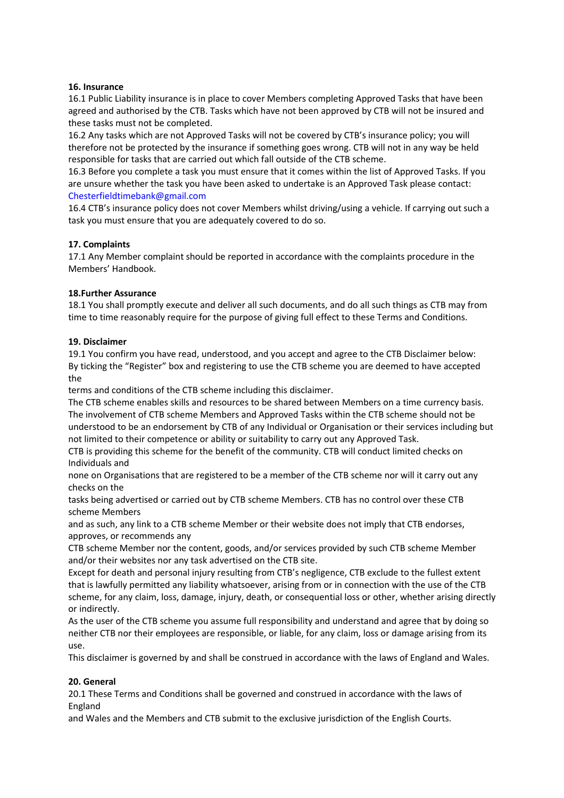#### 16. Insurance

16.1 Public Liability insurance is in place to cover Members completing Approved Tasks that have been agreed and authorised by the CTB. Tasks which have not been approved by CTB will not be insured and these tasks must not be completed.

16.2 Any tasks which are not Approved Tasks will not be covered by CTB's insurance policy; you will therefore not be protected by the insurance if something goes wrong. CTB will not in any way be held responsible for tasks that are carried out which fall outside of the CTB scheme.

16.3 Before you complete a task you must ensure that it comes within the list of Approved Tasks. If you are unsure whether the task you have been asked to undertake is an Approved Task please contact: Chesterfieldtimebank@gmail.com

16.4 CTB's insurance policy does not cover Members whilst driving/using a vehicle. If carrying out such a task you must ensure that you are adequately covered to do so.

## 17. Complaints

17.1 Any Member complaint should be reported in accordance with the complaints procedure in the Members' Handbook.

#### 18.Further Assurance

18.1 You shall promptly execute and deliver all such documents, and do all such things as CTB may from time to time reasonably require for the purpose of giving full effect to these Terms and Conditions.

#### 19. Disclaimer

19.1 You confirm you have read, understood, and you accept and agree to the CTB Disclaimer below: By ticking the "Register" box and registering to use the CTB scheme you are deemed to have accepted the

terms and conditions of the CTB scheme including this disclaimer.

The CTB scheme enables skills and resources to be shared between Members on a time currency basis. The involvement of CTB scheme Members and Approved Tasks within the CTB scheme should not be understood to be an endorsement by CTB of any Individual or Organisation or their services including but not limited to their competence or ability or suitability to carry out any Approved Task.

CTB is providing this scheme for the benefit of the community. CTB will conduct limited checks on Individuals and

none on Organisations that are registered to be a member of the CTB scheme nor will it carry out any checks on the

tasks being advertised or carried out by CTB scheme Members. CTB has no control over these CTB scheme Members

and as such, any link to a CTB scheme Member or their website does not imply that CTB endorses, approves, or recommends any

CTB scheme Member nor the content, goods, and/or services provided by such CTB scheme Member and/or their websites nor any task advertised on the CTB site.

Except for death and personal injury resulting from CTB's negligence, CTB exclude to the fullest extent that is lawfully permitted any liability whatsoever, arising from or in connection with the use of the CTB scheme, for any claim, loss, damage, injury, death, or consequential loss or other, whether arising directly or indirectly.

As the user of the CTB scheme you assume full responsibility and understand and agree that by doing so neither CTB nor their employees are responsible, or liable, for any claim, loss or damage arising from its use.

This disclaimer is governed by and shall be construed in accordance with the laws of England and Wales.

## 20. General

20.1 These Terms and Conditions shall be governed and construed in accordance with the laws of England

and Wales and the Members and CTB submit to the exclusive jurisdiction of the English Courts.